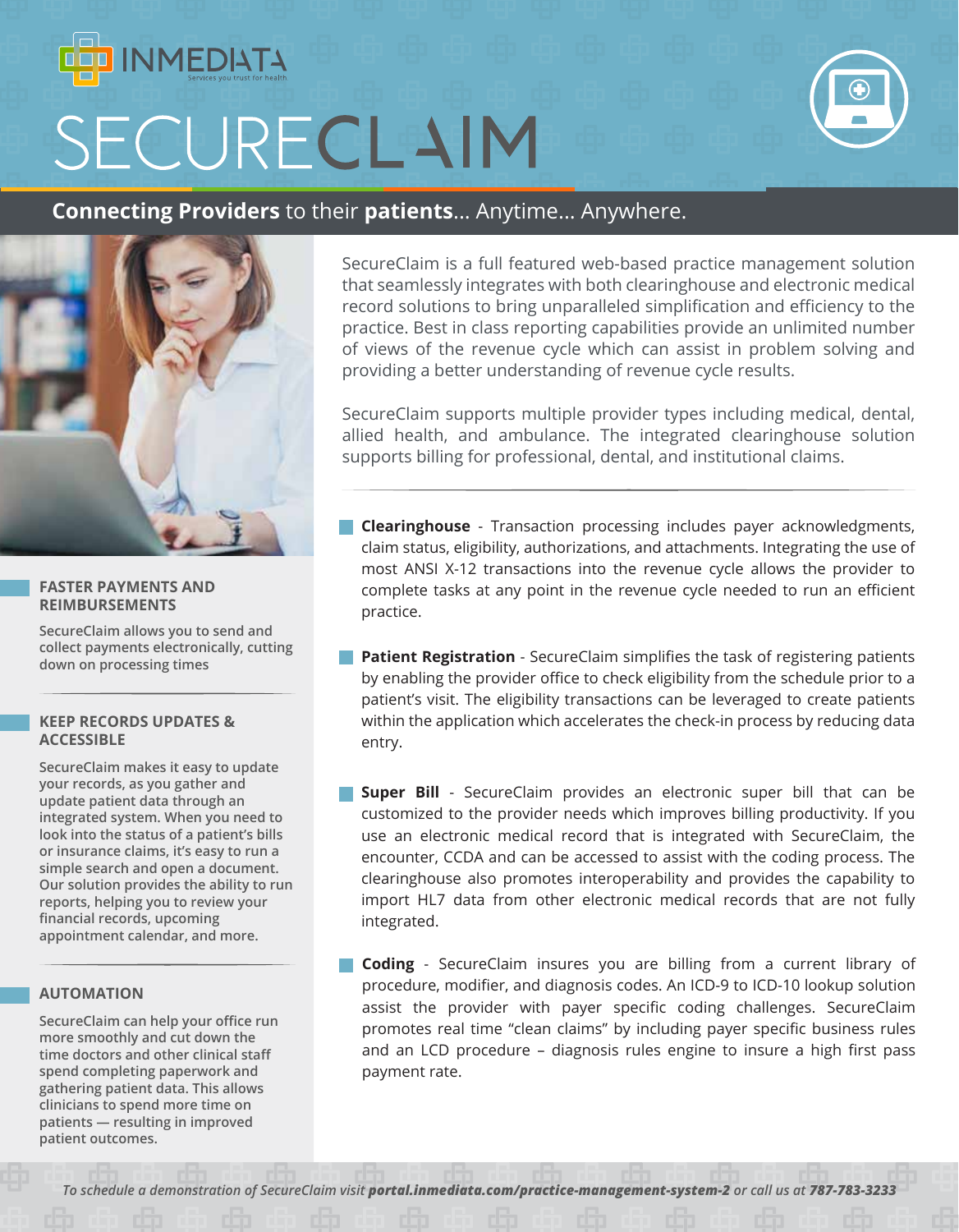# **INMEDIATA** SECURECLAIM



### **Connecting Providers** to their **patients**... Anytime... Anywhere.



#### **FASTER PAYMENTS AND REIMBURSEMENTS**

**SecureClaim allows you to send and collect payments electronically, cutting down on processing times**

#### **KEEP RECORDS UPDATES & ACCESSIBLE**

**SecureClaim makes it easy to update your records, as you gather and update patient data through an integrated system. When you need to look into the status of a patient's bills or insurance claims, it's easy to run a simple search and open a document. Our solution provides the ability to run reports, helping you to review your financial records, upcoming appointment calendar, and more.**

#### **AUTOMATION**

**SecureClaim can help your office run more smoothly and cut down the time doctors and other clinical staff spend completing paperwork and gathering patient data. This allows clinicians to spend more time on patients — resulting in improved patient outcomes.**

SecureClaim is a full featured web-based practice management solution that seamlessly integrates with both clearinghouse and electronic medical record solutions to bring unparalleled simplification and efficiency to the practice. Best in class reporting capabilities provide an unlimited number of views of the revenue cycle which can assist in problem solving and providing a better understanding of revenue cycle results.

SecureClaim supports multiple provider types including medical, dental, allied health, and ambulance. The integrated clearinghouse solution supports billing for professional, dental, and institutional claims.

- **Clearinghouse** Transaction processing includes payer acknowledgments, claim status, eligibility, authorizations, and attachments. Integrating the use of most ANSI X-12 transactions into the revenue cycle allows the provider to complete tasks at any point in the revenue cycle needed to run an efficient practice.
- **Patient Registration** SecureClaim simplifies the task of registering patients by enabling the provider office to check eligibility from the schedule prior to a patient's visit. The eligibility transactions can be leveraged to create patients within the application which accelerates the check-in process by reducing data entry.
- **Super Bill** SecureClaim provides an electronic super bill that can be customized to the provider needs which improves billing productivity. If you use an electronic medical record that is integrated with SecureClaim, the encounter, CCDA and can be accessed to assist with the coding process. The clearinghouse also promotes interoperability and provides the capability to import HL7 data from other electronic medical records that are not fully integrated.
- **Coding** SecureClaim insures you are billing from a current library of procedure, modifier, and diagnosis codes. An ICD-9 to ICD-10 lookup solution assist the provider with payer specific coding challenges. SecureClaim promotes real time "clean claims" by including payer specific business rules and an LCD procedure – diagnosis rules engine to insure a high first pass payment rate.

*To schedule a demonstration of SecureClaim visit portal.inmediata.com/practice-management-system-2 or call us at 787-783-3233*